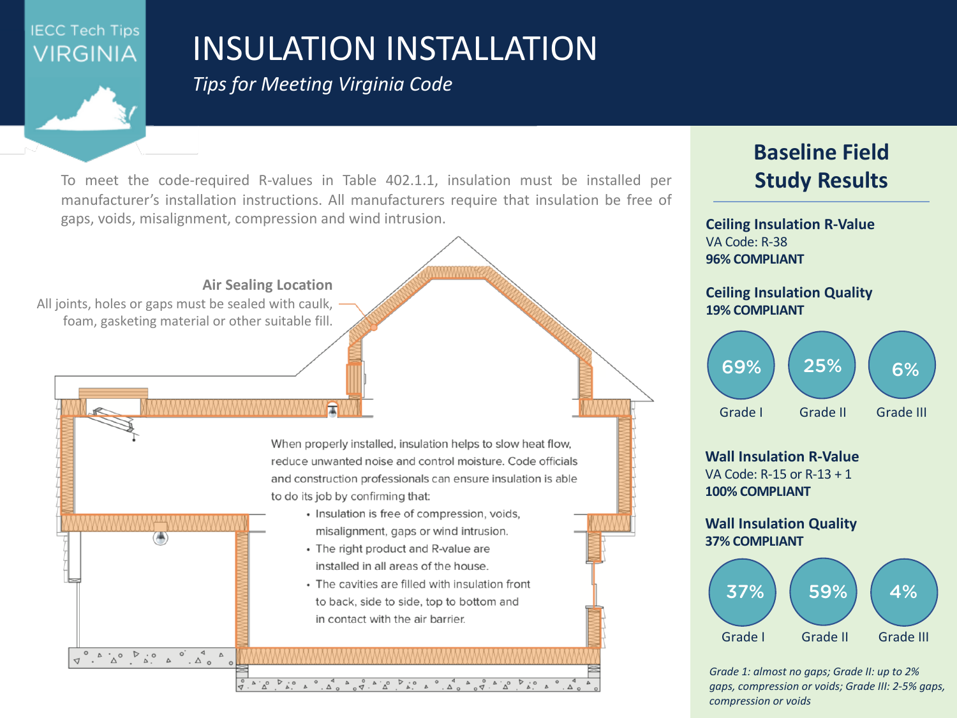

## INSULATION INSTALLATION

**Baseline Field**

**Study Results**

*Tips for Meeting Virginia Code*

To meet the code-required R-values in Table 402.1.1, insulation must be installed per manufacturer's installation instructions. All manufacturers require that insulation be free of gaps, voids, misalignment, compression and wind intrusion.